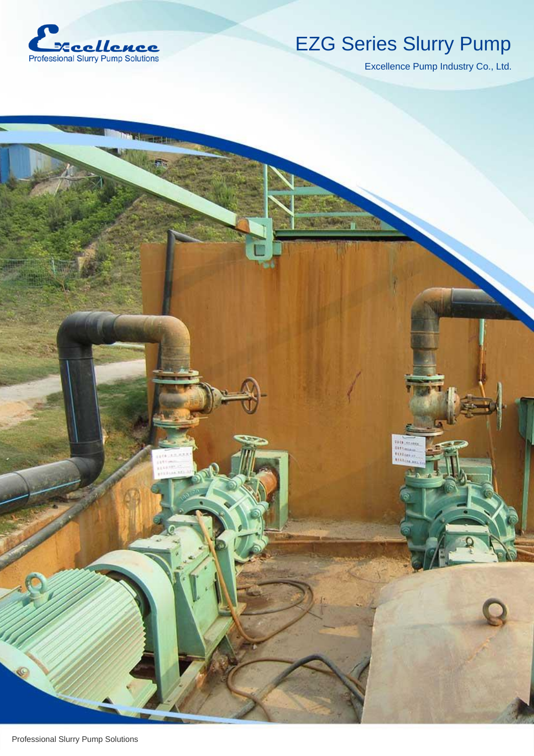

# EZG Series Slurry Pump

 $\frac{100.06}{1000}$ 

Excellence Pump Industry Co., Ltd.

P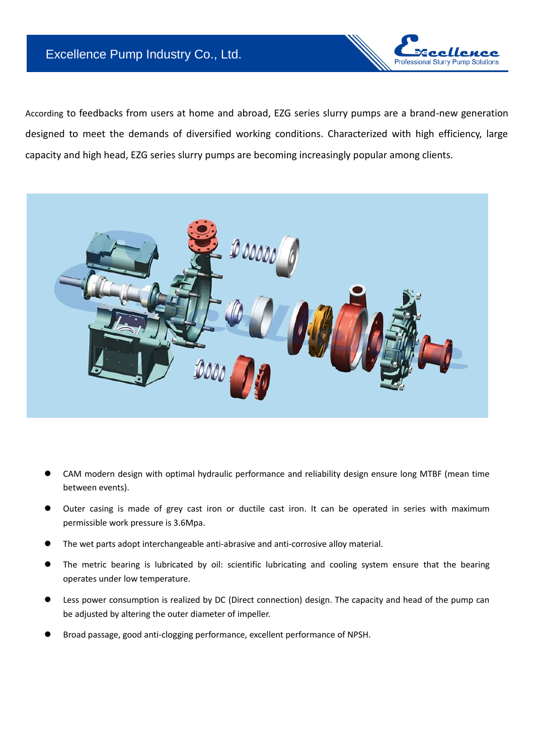### Excellence Pump Industry Co., Ltd.



According to feedbacks from users at home and abroad, EZG series slurry pumps are a brand-new generation designed to meet the demands of diversified working conditions. Characterized with high efficiency, large capacity and high head, EZG series slurry pumps are becoming increasingly popular among clients.



- CAM modern design with optimal hydraulic performance and reliability design ensure long MTBF (mean time between events).
- Outer casing is made of grey cast iron or ductile cast iron. It can be operated in series with maximum permissible work pressure is 3.6Mpa.
- The wet parts adopt interchangeable anti-abrasive and anti-corrosive alloy material.
- The metric bearing is lubricated by oil: scientific lubricating and cooling system ensure that the bearing operates under low temperature.
- Less power consumption is realized by DC (Direct connection) design. The capacity and head of the pump can be adjusted by altering the outer diameter of impeller.
- Broad passage, good anti-clogging performance, excellent performance of NPSH.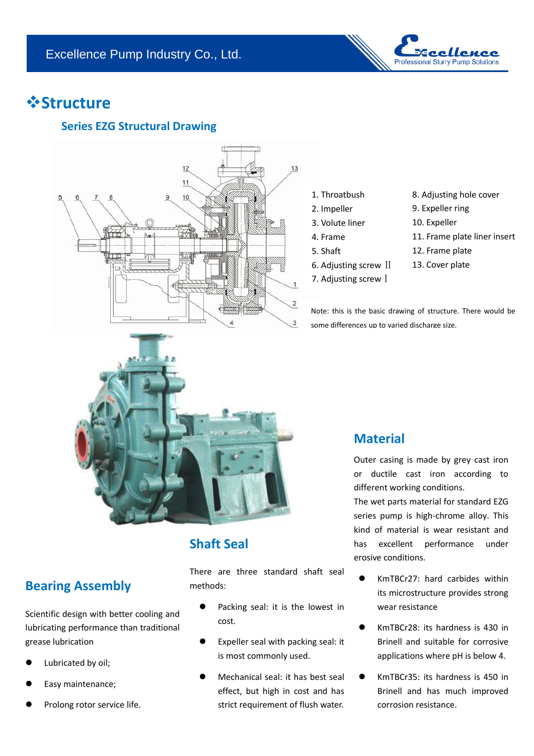

# *<u><b>Structure*</u>

### **Series EZG Structural Drawing**



- 1. Throatbush
- 2. Impeller
- 3. Volute liner
- 4. Frame
- 5. Shaft
- 6. Adjusting screw Ⅱ
- 7. Adjusting screw <sup>[</sup>
- 8. Adjusting hole cover
- 9. Expeller ring
- 10. Expeller
- 11. Frame plate liner insert
- 12. Frame plate
- 13. Cover plate

Note: this is the basic drawing of structure. There would be some differences up to varied discharge size.



## **Shaft Seal**

There are three standard shaft seal methods:

- Packing seal: it is the lowest in cost.
- Expeller seal with packing seal: it is most commonly used.
- Mechanical seal: it has best seal effect, but high in cost and has strict requirement of flush water.

### **Material**

Outer casing is made by grey cast iron or ductile cast iron according to different working conditions.

The wet parts material for standard EZG series pump is high-chrome alloy. This kind of material is wear resistant and has excellent performance under erosive conditions.

- KmTBCr27: hard carbides within its microstructure provides strong wear resistance
- KmTBCr28: its hardness is 430 in Brinell and suitable for corrosive applications where pH is below 4.
- KmTBCr35: its hardness is 450 in Brinell and has much improved corrosion resistance.

# **Bearing Assembly**

Scientific design with better cooling and lubricating performance than traditional grease lubrication

- Lubricated by oil;
- Easy maintenance;
- Prolong rotor service life.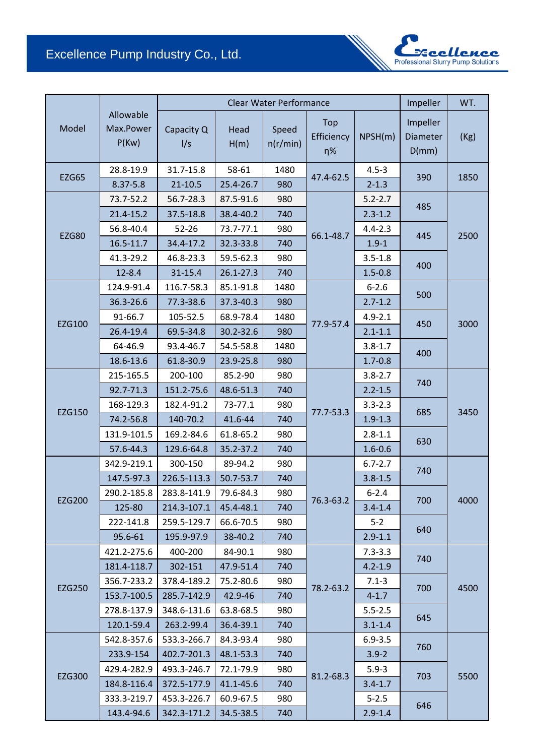### Excellence Pump Industry Co., Ltd.

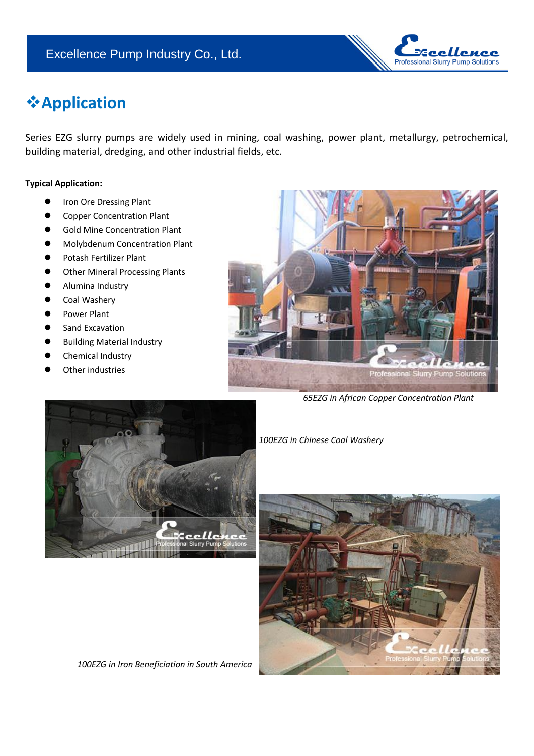

# **Application**

Series EZG slurry pumps are widely used in mining, coal washing, power plant, metallurgy, petrochemical, building material, dredging, and other industrial fields, etc.

#### **Typical Application:**

- **•** Iron Ore Dressing Plant
- Copper Concentration Plant
- Gold Mine Concentration Plant
- Molybdenum Concentration Plant
- Potash Fertilizer Plant
- Other Mineral Processing Plants
- Alumina Industry
- Coal Washery
- Power Plant
- Sand Excavation
- Building Material Industry
- Chemical Industry
- Other industries



*65EZG in African Copper Concentration Plant*



*100EZG in Chinese Coal Washery*



*100EZG in Iron Beneficiation in South America*